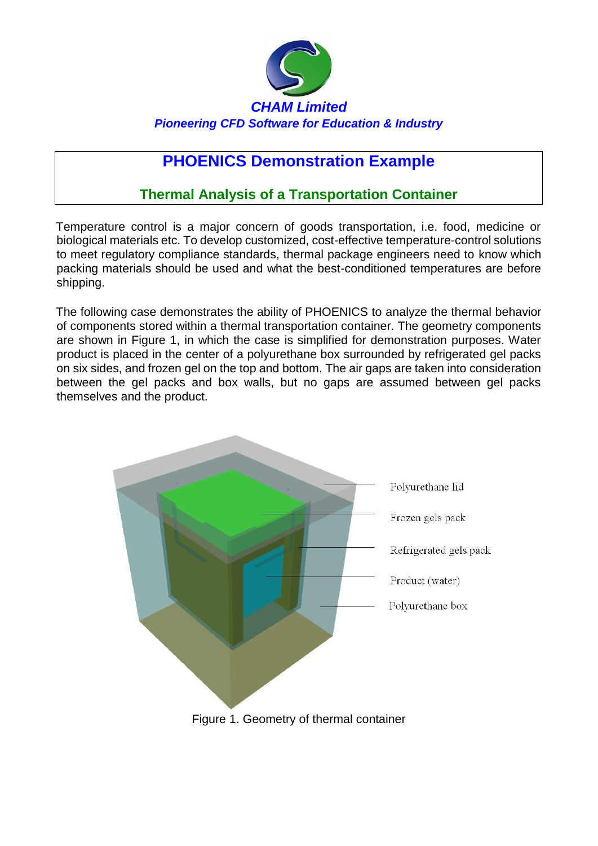

## **PHOENICS Demonstration Example**

## **Thermal Analysis of a Transportation Container**

Temperature control is a major concern of goods transportation, i.e. food, medicine or biological materials etc. To develop customized, cost-effective temperature-control solutions to meet regulatory compliance standards, thermal package engineers need to know which packing materials should be used and what the best-conditioned temperatures are before shipping.

The following case demonstrates the ability of PHOENICS to analyze the thermal behavior of components stored within a thermal transportation container. The geometry components are shown in Figure 1, in which the case is simplified for demonstration purposes. Water product is placed in the center of a polyurethane box surrounded by refrigerated gel packs on six sides, and frozen gel on the top and bottom. The air gaps are taken into consideration between the gel packs and box walls, but no gaps are assumed between gel packs themselves and the product.

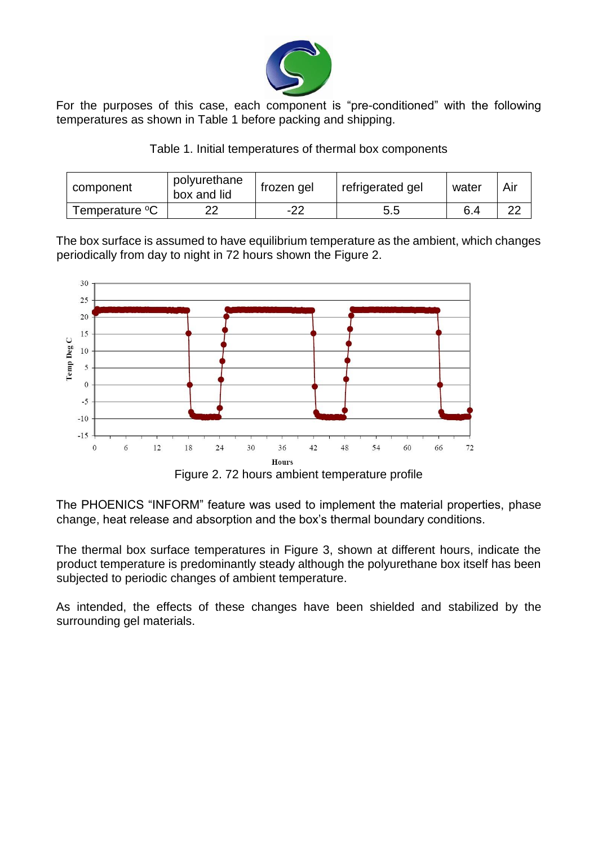

For the purposes of this case, each component is "pre-conditioned" with the following temperatures as shown in Table 1 before packing and shipping.

|  |  |  |  | Table 1. Initial temperatures of thermal box components |
|--|--|--|--|---------------------------------------------------------|
|--|--|--|--|---------------------------------------------------------|

| component      | polyurethane<br>box and lid | frozen gel | refrigerated gel | water | Air |
|----------------|-----------------------------|------------|------------------|-------|-----|
| Temperature °C |                             | -22        | 5.5              | 6.4   | າາ  |

The box surface is assumed to have equilibrium temperature as the ambient, which changes periodically from day to night in 72 hours shown the Figure 2.



The PHOENICS "INFORM" feature was used to implement the material properties, phase change, heat release and absorption and the box's thermal boundary conditions.

The thermal box surface temperatures in Figure 3, shown at different hours, indicate the product temperature is predominantly steady although the polyurethane box itself has been subjected to periodic changes of ambient temperature.

As intended, the effects of these changes have been shielded and stabilized by the surrounding gel materials.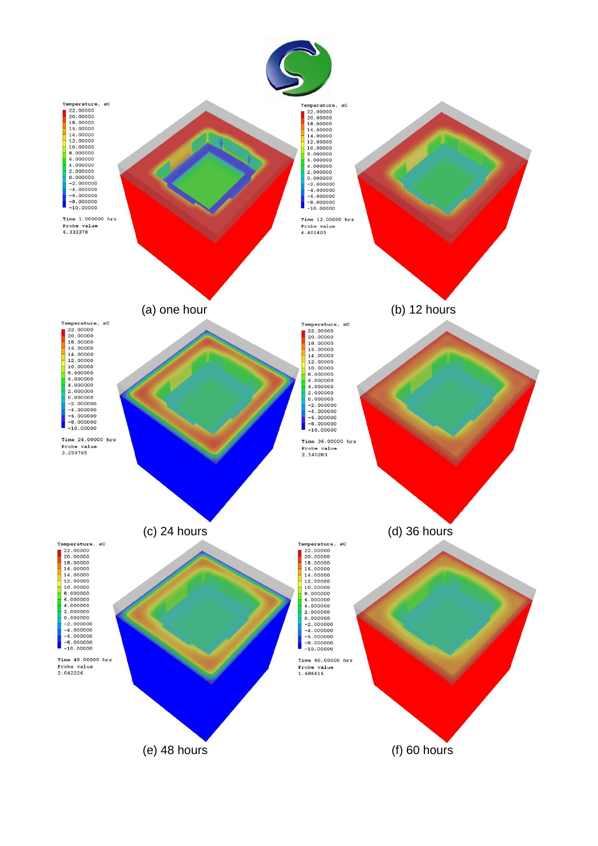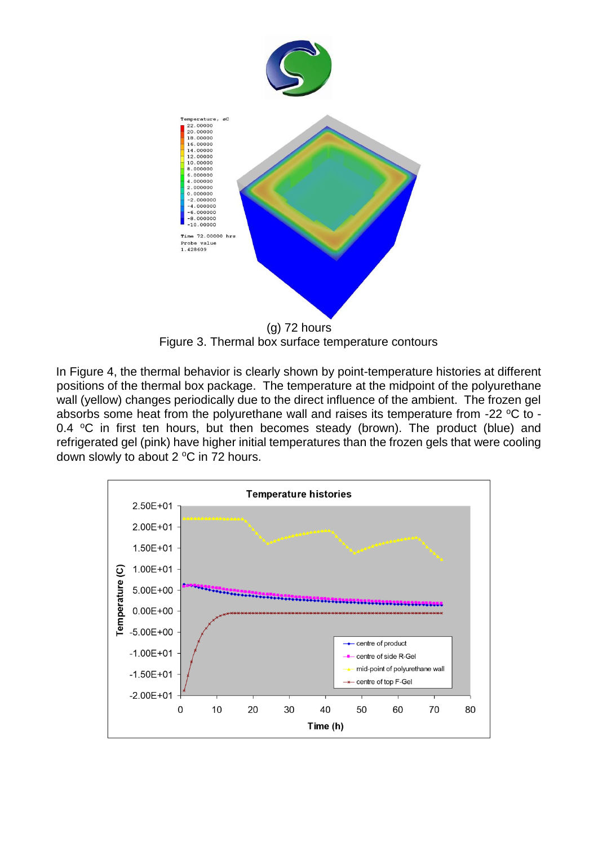

 (g) 72 hours Figure 3. Thermal box surface temperature contours

In Figure 4, the thermal behavior is clearly shown by point-temperature histories at different positions of the thermal box package. The temperature at the midpoint of the polyurethane wall (yellow) changes periodically due to the direct influence of the ambient. The frozen gel absorbs some heat from the polyurethane wall and raises its temperature from -22 °C to -0.4  $\degree$ C in first ten hours, but then becomes steady (brown). The product (blue) and refrigerated gel (pink) have higher initial temperatures than the frozen gels that were cooling down slowly to about  $2^{\circ}$ C in 72 hours.